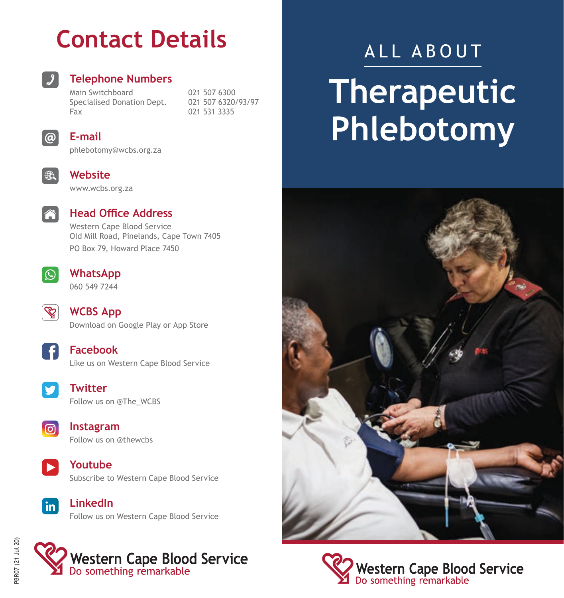## **Contact Details**



### **Telephone Numbers**

Main Switchboard 021 507 6300<br>Specialised Donation Dept 021 507 6320/93/97 Specialised Donation Dept.<br>Fax

021 531 3335



### **E-mail**

phlebotomy@wcbs.org.za



### **Website**

www.wcbs.org.za



### **Head Office Address**

Western Cape Blood Service Old Mill Road, Pinelands, Cape Town 7405 PO Box 79, Howard Place 7450



### **WhatsApp** 060 549 7244



**WCBS App** Download on Google Play or App Store

**Facebook** Like us on Western Cape Blood Service



#### **Twitter** Follow us on @The\_WCBS



**Instagram** Follow us on @thewcbs



 $\mathsf{lin}^{\mathsf{T}}$ 

**Youtube** Subscribe to Western Cape Blood Service

**LinkedIn** Follow us on Western Cape Blood Service



# ALL ABOUT **Therapeutic Phlebotomy**





Western Cape Blood Service<br>Do something remarkable